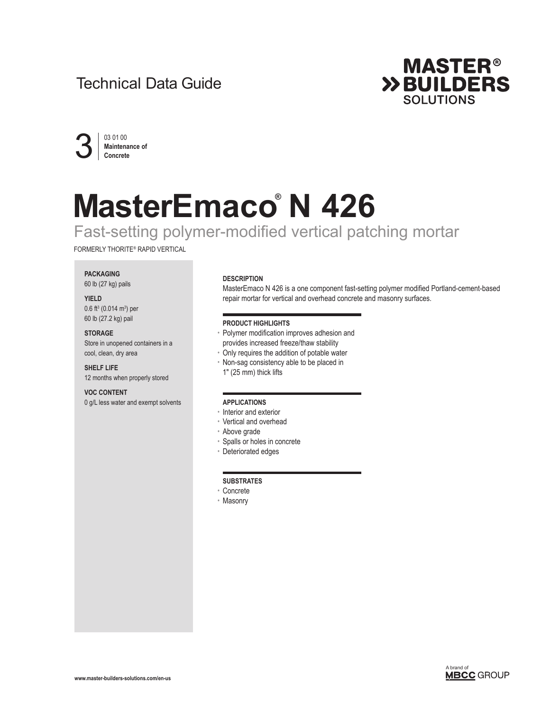# Technical Data Guide





# **MasterEmaco® N 426**

# Fast-setting polymer-modified vertical patching mortar

FORMERLY THORITE® RAPID VERTICAL

# **PACKAGING**

60 lb (27 kg) pails

# **YIELD**  0.6 ft<sup>3</sup> (0.014 m<sup>3</sup>) per

60 lb (27.2 kg) pail

**STORAGE** Store in unopened containers in a cool, clean, dry area

**SHELF LIFE** 12 months when properly stored

**VOC CONTENT** 0 g/L less water and exempt solvents

# **DESCRIPTION**

MasterEmaco N 426 is a one component fast-setting polymer modified Portland-cement-based repair mortar for vertical and overhead concrete and masonry surfaces.

# **PRODUCT HIGHLIGHTS**

- Polymer modification improves adhesion and provides increased freeze/thaw stability
- Only requires the addition of potable water
- Non-sag consistency able to be placed in
- 1" (25 mm) thick lifts

# **APPLICATIONS**

- Interior and exterior
- Vertical and overhead
- Above grade
- Spalls or holes in concrete
- Deteriorated edges

## **SUBSTRATES**

- Concrete
- Masonry



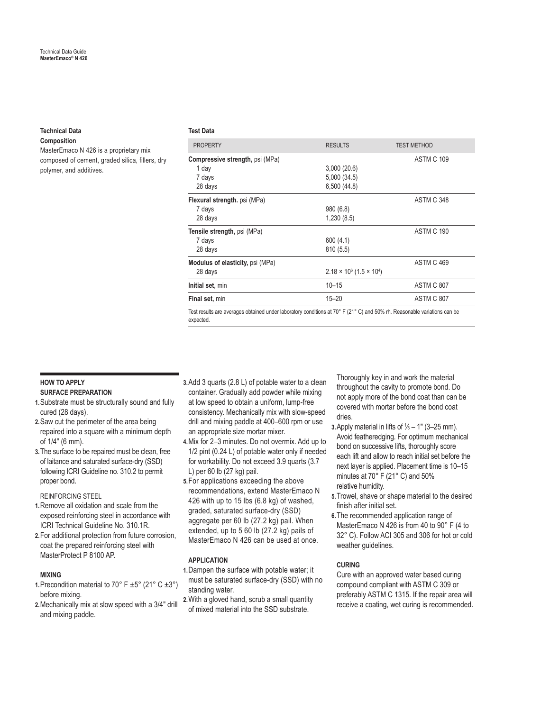# **Technical Data**

**Composition**

MasterEmaco N 426 is a proprietary mix composed of cement, graded silica, fillers, dry polymer, and additives.

#### **Test Data**

| <b>PROPERTY</b>                                                                                                          | <b>RESULTS</b>                                     | <b>TEST METHOD</b> |
|--------------------------------------------------------------------------------------------------------------------------|----------------------------------------------------|--------------------|
| <b>Compressive strength, psi (MPa)</b><br>1 day<br>7 days<br>28 days                                                     | 3,000(20.6)<br>5,000 (34.5)<br>6,500 (44.8)        | <b>ASTM C 109</b>  |
| Flexural strength. psi (MPa)<br>7 days<br>28 days                                                                        | 980(6.8)<br>1,230(8.5)                             | ASTM C 348         |
| Tensile strength, psi (MPa)<br>7 days<br>28 days                                                                         | 600(4.1)<br>810(5.5)                               | ASTM C 190         |
| Modulus of elasticity, psi (MPa)<br>28 days                                                                              | $2.18 \times 10^6$ (1.5 $\times$ 10 <sup>4</sup> ) | ASTM C 469         |
| Initial set, min                                                                                                         | $10 - 15$                                          | ASTM C 807         |
| Final set, min                                                                                                           | $15 - 20$                                          | ASTM C 807         |
| Teet results are averages obtained under laboratory conditions at 70° F (21° C) and 50% the Reasonable variations can be |                                                    |                    |

Test results are averages obtained under laboratory conditions at 70° F (21° C) and 50% rh. Reasonable variations can be expected.

# **HOW TO APPLY SURFACE PREPARATION**

- **1.**Substrate must be structurally sound and fully cured (28 days).
- **2.**Saw cut the perimeter of the area being repaired into a square with a minimum depth of 1/4" (6 mm).
- **3.**The surface to be repaired must be clean, free of laitance and saturated surface-dry (SSD) following ICRI Guideline no. 310.2 to permit proper bond.

REINFORCING STEEL

- **1.**Remove all oxidation and scale from the exposed reinforcing steel in accordance with ICRI Technical Guideline No. 310.1R.
- **2.**For additional protection from future corrosion, coat the prepared reinforcing steel with MasterProtect P 8100 AP.

# **MIXING**

- **1.**Precondition material to 70° F  $\pm$ 5° (21° C  $\pm$ 3°) before mixing.
- **2.**Mechanically mix at slow speed with a 3/4" drill and mixing paddle.
- **3.**Add 3 quarts (2.8 L) of potable water to a clean container. Gradually add powder while mixing at low speed to obtain a uniform, lump-free consistency. Mechanically mix with slow-speed drill and mixing paddle at 400–600 rpm or use an appropriate size mortar mixer.
- **4.**Mix for 2–3 minutes. Do not overmix. Add up to 1/2 pint (0.24 L) of potable water only if needed for workability. Do not exceed 3.9 quarts (3.7 L) per 60 lb (27 kg) pail.
- **5.**For applications exceeding the above recommendations, extend MasterEmaco N 426 with up to 15 lbs (6.8 kg) of washed, graded, saturated surface-dry (SSD) aggregate per 60 lb (27.2 kg) pail. When extended, up to 5 60 lb (27.2 kg) pails of MasterEmaco N 426 can be used at once.

# **APPLICATION**

- **1.**Dampen the surface with potable water; it must be saturated surface-dry (SSD) with no standing water.
- **2.**With a gloved hand, scrub a small quantity of mixed material into the SSD substrate.

Thoroughly key in and work the material throughout the cavity to promote bond. Do not apply more of the bond coat than can be covered with mortar before the bond coat dries.

- **3.** Apply material in lifts of  $\frac{1}{6}$  1" (3–25 mm). Avoid featheredging. For optimum mechanical bond on successive lifts, thoroughly score each lift and allow to reach initial set before the next layer is applied. Placement time is 10–15 minutes at 70° F (21° C) and 50% relative humidity.
- **5.**Trowel, shave or shape material to the desired finish after initial set.
- **6.**The recommended application range of MasterEmaco N 426 is from 40 to 90° F (4 to 32° C). Follow ACI 305 and 306 for hot or cold weather guidelines.

# **CURING**

Cure with an approved water based curing compound compliant with ASTM C 309 or preferably ASTM C 1315. If the repair area will receive a coating, wet curing is recommended.